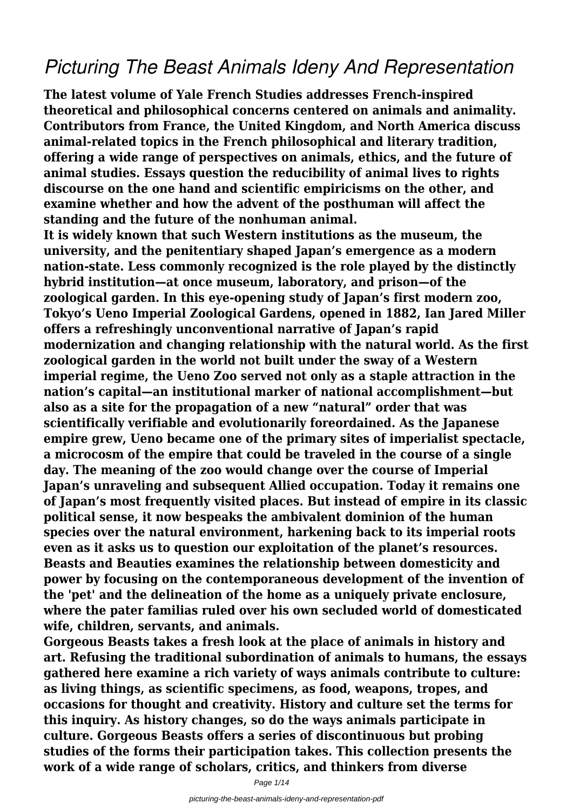# *Picturing The Beast Animals Ideny And Representation*

**The latest volume of Yale French Studies addresses French-inspired theoretical and philosophical concerns centered on animals and animality. Contributors from France, the United Kingdom, and North America discuss animal-related topics in the French philosophical and literary tradition, offering a wide range of perspectives on animals, ethics, and the future of animal studies. Essays question the reducibility of animal lives to rights discourse on the one hand and scientific empiricisms on the other, and examine whether and how the advent of the posthuman will affect the standing and the future of the nonhuman animal.**

**It is widely known that such Western institutions as the museum, the university, and the penitentiary shaped Japan's emergence as a modern nation-state. Less commonly recognized is the role played by the distinctly hybrid institution—at once museum, laboratory, and prison—of the zoological garden. In this eye-opening study of Japan's first modern zoo, Tokyo's Ueno Imperial Zoological Gardens, opened in 1882, Ian Jared Miller offers a refreshingly unconventional narrative of Japan's rapid modernization and changing relationship with the natural world. As the first zoological garden in the world not built under the sway of a Western imperial regime, the Ueno Zoo served not only as a staple attraction in the nation's capital—an institutional marker of national accomplishment—but also as a site for the propagation of a new "natural" order that was scientifically verifiable and evolutionarily foreordained. As the Japanese empire grew, Ueno became one of the primary sites of imperialist spectacle, a microcosm of the empire that could be traveled in the course of a single day. The meaning of the zoo would change over the course of Imperial Japan's unraveling and subsequent Allied occupation. Today it remains one of Japan's most frequently visited places. But instead of empire in its classic political sense, it now bespeaks the ambivalent dominion of the human species over the natural environment, harkening back to its imperial roots even as it asks us to question our exploitation of the planet's resources. Beasts and Beauties examines the relationship between domesticity and power by focusing on the contemporaneous development of the invention of the 'pet' and the delineation of the home as a uniquely private enclosure, where the pater familias ruled over his own secluded world of domesticated wife, children, servants, and animals.**

**Gorgeous Beasts takes a fresh look at the place of animals in history and art. Refusing the traditional subordination of animals to humans, the essays gathered here examine a rich variety of ways animals contribute to culture: as living things, as scientific specimens, as food, weapons, tropes, and occasions for thought and creativity. History and culture set the terms for this inquiry. As history changes, so do the ways animals participate in culture. Gorgeous Beasts offers a series of discontinuous but probing studies of the forms their participation takes. This collection presents the work of a wide range of scholars, critics, and thinkers from diverse**

Page 1/14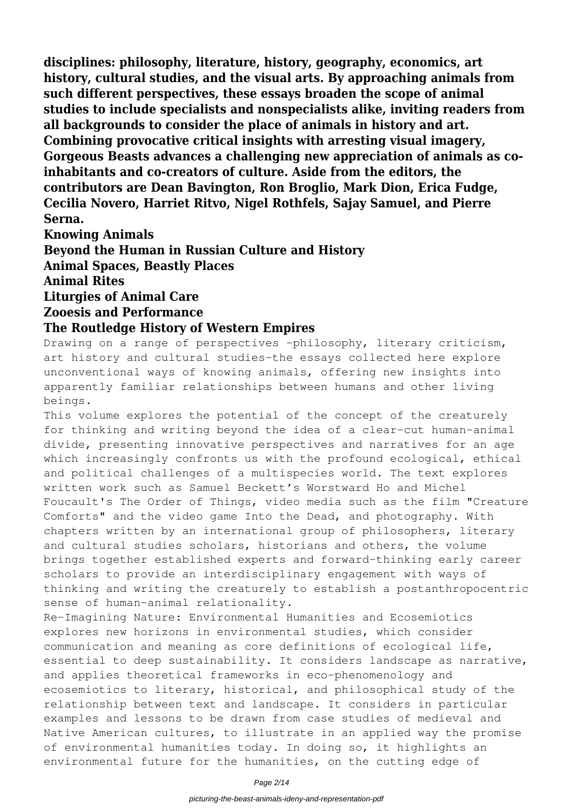**disciplines: philosophy, literature, history, geography, economics, art history, cultural studies, and the visual arts. By approaching animals from such different perspectives, these essays broaden the scope of animal studies to include specialists and nonspecialists alike, inviting readers from all backgrounds to consider the place of animals in history and art. Combining provocative critical insights with arresting visual imagery, Gorgeous Beasts advances a challenging new appreciation of animals as coinhabitants and co-creators of culture. Aside from the editors, the contributors are Dean Bavington, Ron Broglio, Mark Dion, Erica Fudge, Cecilia Novero, Harriet Ritvo, Nigel Rothfels, Sajay Samuel, and Pierre Serna.**

**Knowing Animals Beyond the Human in Russian Culture and History Animal Spaces, Beastly Places Animal Rites Liturgies of Animal Care Zooesis and Performance**

### **The Routledge History of Western Empires**

Drawing on a range of perspectives -philosophy, literary criticism, art history and cultural studies-the essays collected here explore unconventional ways of knowing animals, offering new insights into apparently familiar relationships between humans and other living beings.

This volume explores the potential of the concept of the creaturely for thinking and writing beyond the idea of a clear-cut human-animal divide, presenting innovative perspectives and narratives for an age which increasingly confronts us with the profound ecological, ethical and political challenges of a multispecies world. The text explores written work such as Samuel Beckett's Worstward Ho and Michel Foucault's The Order of Things, video media such as the film "Creature Comforts" and the video game Into the Dead, and photography. With chapters written by an international group of philosophers, literary and cultural studies scholars, historians and others, the volume brings together established experts and forward-thinking early career scholars to provide an interdisciplinary engagement with ways of thinking and writing the creaturely to establish a postanthropocentric sense of human-animal relationality.

Re-Imagining Nature: Environmental Humanities and Ecosemiotics explores new horizons in environmental studies, which consider communication and meaning as core definitions of ecological life, essential to deep sustainability. It considers landscape as narrative, and applies theoretical frameworks in eco-phenomenology and ecosemiotics to literary, historical, and philosophical study of the relationship between text and landscape. It considers in particular examples and lessons to be drawn from case studies of medieval and Native American cultures, to illustrate in an applied way the promise of environmental humanities today. In doing so, it highlights an environmental future for the humanities, on the cutting edge of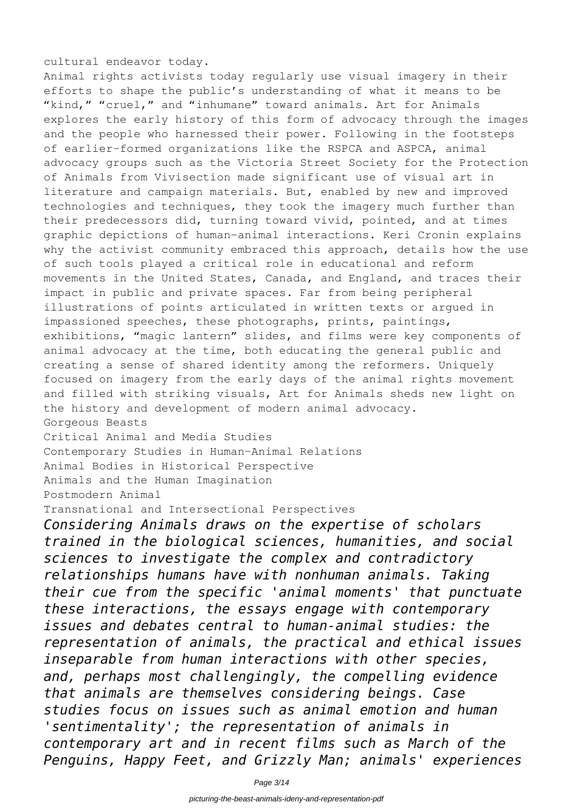cultural endeavor today.

Animal rights activists today regularly use visual imagery in their efforts to shape the public's understanding of what it means to be "kind," "cruel," and "inhumane" toward animals. Art for Animals explores the early history of this form of advocacy through the images and the people who harnessed their power. Following in the footsteps of earlier-formed organizations like the RSPCA and ASPCA, animal advocacy groups such as the Victoria Street Society for the Protection of Animals from Vivisection made significant use of visual art in literature and campaign materials. But, enabled by new and improved technologies and techniques, they took the imagery much further than their predecessors did, turning toward vivid, pointed, and at times graphic depictions of human-animal interactions. Keri Cronin explains why the activist community embraced this approach, details how the use of such tools played a critical role in educational and reform movements in the United States, Canada, and England, and traces their impact in public and private spaces. Far from being peripheral illustrations of points articulated in written texts or argued in impassioned speeches, these photographs, prints, paintings, exhibitions, "magic lantern" slides, and films were key components of animal advocacy at the time, both educating the general public and creating a sense of shared identity among the reformers. Uniquely focused on imagery from the early days of the animal rights movement and filled with striking visuals, Art for Animals sheds new light on the history and development of modern animal advocacy. Gorgeous Beasts

Critical Animal and Media Studies Contemporary Studies in Human–Animal Relations Animal Bodies in Historical Perspective Animals and the Human Imagination Postmodern Animal

Transnational and Intersectional Perspectives

*Considering Animals draws on the expertise of scholars trained in the biological sciences, humanities, and social sciences to investigate the complex and contradictory relationships humans have with nonhuman animals. Taking their cue from the specific 'animal moments' that punctuate these interactions, the essays engage with contemporary issues and debates central to human-animal studies: the representation of animals, the practical and ethical issues inseparable from human interactions with other species, and, perhaps most challengingly, the compelling evidence that animals are themselves considering beings. Case studies focus on issues such as animal emotion and human 'sentimentality'; the representation of animals in contemporary art and in recent films such as March of the Penguins, Happy Feet, and Grizzly Man; animals' experiences*

Page 3/14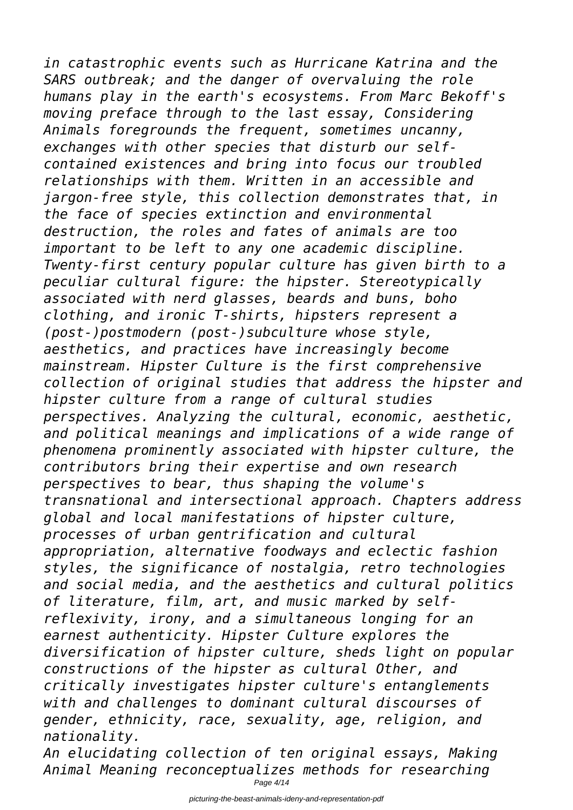*in catastrophic events such as Hurricane Katrina and the SARS outbreak; and the danger of overvaluing the role humans play in the earth's ecosystems. From Marc Bekoff's moving preface through to the last essay, Considering Animals foregrounds the frequent, sometimes uncanny, exchanges with other species that disturb our selfcontained existences and bring into focus our troubled relationships with them. Written in an accessible and jargon-free style, this collection demonstrates that, in the face of species extinction and environmental destruction, the roles and fates of animals are too important to be left to any one academic discipline. Twenty-first century popular culture has given birth to a peculiar cultural figure: the hipster. Stereotypically associated with nerd glasses, beards and buns, boho clothing, and ironic T-shirts, hipsters represent a (post-)postmodern (post-)subculture whose style, aesthetics, and practices have increasingly become mainstream. Hipster Culture is the first comprehensive collection of original studies that address the hipster and hipster culture from a range of cultural studies perspectives. Analyzing the cultural, economic, aesthetic, and political meanings and implications of a wide range of phenomena prominently associated with hipster culture, the contributors bring their expertise and own research perspectives to bear, thus shaping the volume's transnational and intersectional approach. Chapters address global and local manifestations of hipster culture, processes of urban gentrification and cultural appropriation, alternative foodways and eclectic fashion styles, the significance of nostalgia, retro technologies and social media, and the aesthetics and cultural politics of literature, film, art, and music marked by selfreflexivity, irony, and a simultaneous longing for an earnest authenticity. Hipster Culture explores the diversification of hipster culture, sheds light on popular constructions of the hipster as cultural Other, and critically investigates hipster culture's entanglements with and challenges to dominant cultural discourses of gender, ethnicity, race, sexuality, age, religion, and nationality.*

*An elucidating collection of ten original essays, Making Animal Meaning reconceptualizes methods for researching*

Page 4/14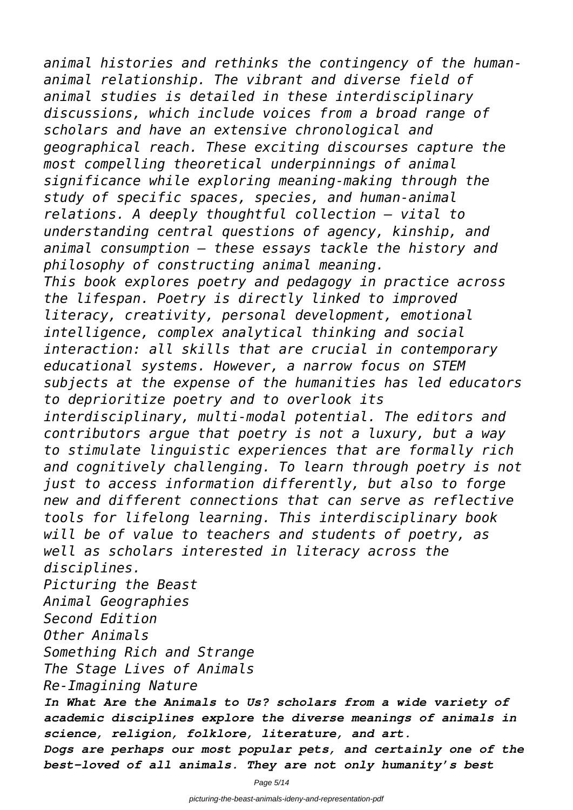*animal histories and rethinks the contingency of the humananimal relationship. The vibrant and diverse field of animal studies is detailed in these interdisciplinary discussions, which include voices from a broad range of scholars and have an extensive chronological and geographical reach. These exciting discourses capture the most compelling theoretical underpinnings of animal significance while exploring meaning-making through the study of specific spaces, species, and human-animal relations. A deeply thoughtful collection — vital to understanding central questions of agency, kinship, and animal consumption — these essays tackle the history and philosophy of constructing animal meaning. This book explores poetry and pedagogy in practice across the lifespan. Poetry is directly linked to improved literacy, creativity, personal development, emotional intelligence, complex analytical thinking and social interaction: all skills that are crucial in contemporary educational systems. However, a narrow focus on STEM subjects at the expense of the humanities has led educators to deprioritize poetry and to overlook its interdisciplinary, multi-modal potential. The editors and contributors argue that poetry is not a luxury, but a way to stimulate linguistic experiences that are formally rich and cognitively challenging. To learn through poetry is not just to access information differently, but also to forge new and different connections that can serve as reflective tools for lifelong learning. This interdisciplinary book will be of value to teachers and students of poetry, as well as scholars interested in literacy across the disciplines. Picturing the Beast Animal Geographies Second Edition Other Animals Something Rich and Strange The Stage Lives of Animals Re-Imagining Nature In What Are the Animals to Us? scholars from a wide variety of academic disciplines explore the diverse meanings of animals in science, religion, folklore, literature, and art.*

*Dogs are perhaps our most popular pets, and certainly one of the best-loved of all animals. They are not only humanity's best*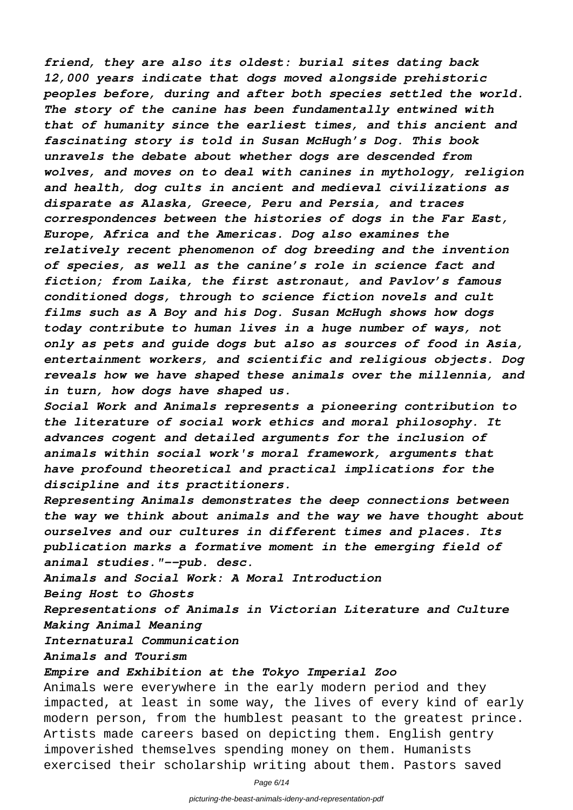*friend, they are also its oldest: burial sites dating back 12,000 years indicate that dogs moved alongside prehistoric peoples before, during and after both species settled the world. The story of the canine has been fundamentally entwined with that of humanity since the earliest times, and this ancient and fascinating story is told in Susan McHugh's Dog. This book unravels the debate about whether dogs are descended from wolves, and moves on to deal with canines in mythology, religion and health, dog cults in ancient and medieval civilizations as disparate as Alaska, Greece, Peru and Persia, and traces correspondences between the histories of dogs in the Far East, Europe, Africa and the Americas. Dog also examines the relatively recent phenomenon of dog breeding and the invention of species, as well as the canine's role in science fact and fiction; from Laika, the first astronaut, and Pavlov's famous conditioned dogs, through to science fiction novels and cult films such as A Boy and his Dog. Susan McHugh shows how dogs today contribute to human lives in a huge number of ways, not only as pets and guide dogs but also as sources of food in Asia, entertainment workers, and scientific and religious objects. Dog reveals how we have shaped these animals over the millennia, and in turn, how dogs have shaped us.*

*Social Work and Animals represents a pioneering contribution to the literature of social work ethics and moral philosophy. It advances cogent and detailed arguments for the inclusion of animals within social work's moral framework, arguments that have profound theoretical and practical implications for the discipline and its practitioners.*

*Representing Animals demonstrates the deep connections between the way we think about animals and the way we have thought about ourselves and our cultures in different times and places. Its publication marks a formative moment in the emerging field of animal studies."--pub. desc.*

*Animals and Social Work: A Moral Introduction*

*Being Host to Ghosts*

*Representations of Animals in Victorian Literature and Culture Making Animal Meaning*

*Internatural Communication*

#### *Animals and Tourism*

#### *Empire and Exhibition at the Tokyo Imperial Zoo*

Animals were everywhere in the early modern period and they impacted, at least in some way, the lives of every kind of early modern person, from the humblest peasant to the greatest prince. Artists made careers based on depicting them. English gentry impoverished themselves spending money on them. Humanists exercised their scholarship writing about them. Pastors saved

Page 6/14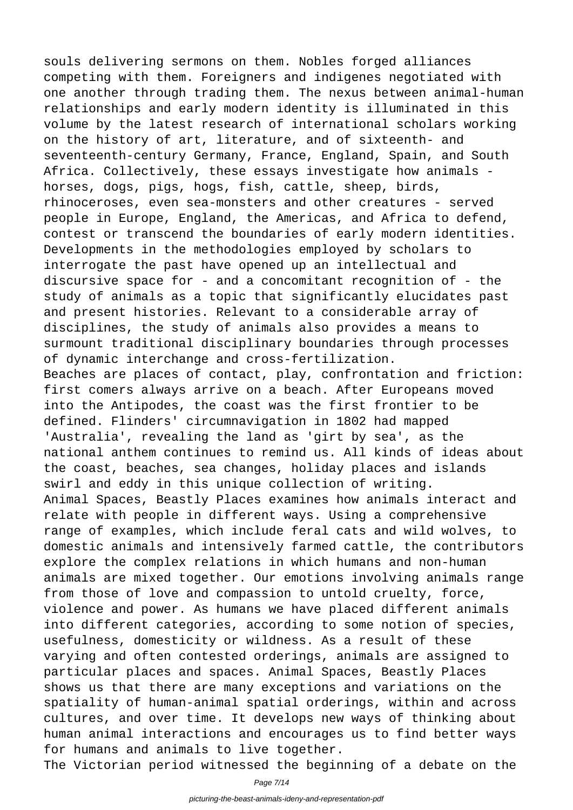souls delivering sermons on them. Nobles forged alliances competing with them. Foreigners and indigenes negotiated with one another through trading them. The nexus between animal-human relationships and early modern identity is illuminated in this volume by the latest research of international scholars working on the history of art, literature, and of sixteenth- and seventeenth-century Germany, France, England, Spain, and South Africa. Collectively, these essays investigate how animals horses, dogs, pigs, hogs, fish, cattle, sheep, birds, rhinoceroses, even sea-monsters and other creatures - served people in Europe, England, the Americas, and Africa to defend, contest or transcend the boundaries of early modern identities. Developments in the methodologies employed by scholars to interrogate the past have opened up an intellectual and discursive space for - and a concomitant recognition of - the study of animals as a topic that significantly elucidates past and present histories. Relevant to a considerable array of disciplines, the study of animals also provides a means to surmount traditional disciplinary boundaries through processes of dynamic interchange and cross-fertilization. Beaches are places of contact, play, confrontation and friction: first comers always arrive on a beach. After Europeans moved into the Antipodes, the coast was the first frontier to be defined. Flinders' circumnavigation in 1802 had mapped 'Australia', revealing the land as 'girt by sea', as the national anthem continues to remind us. All kinds of ideas about the coast, beaches, sea changes, holiday places and islands swirl and eddy in this unique collection of writing. Animal Spaces, Beastly Places examines how animals interact and relate with people in different ways. Using a comprehensive range of examples, which include feral cats and wild wolves, to domestic animals and intensively farmed cattle, the contributors explore the complex relations in which humans and non-human animals are mixed together. Our emotions involving animals range from those of love and compassion to untold cruelty, force, violence and power. As humans we have placed different animals into different categories, according to some notion of species, usefulness, domesticity or wildness. As a result of these varying and often contested orderings, animals are assigned to particular places and spaces. Animal Spaces, Beastly Places shows us that there are many exceptions and variations on the spatiality of human-animal spatial orderings, within and across cultures, and over time. It develops new ways of thinking about human animal interactions and encourages us to find better ways for humans and animals to live together.

The Victorian period witnessed the beginning of a debate on the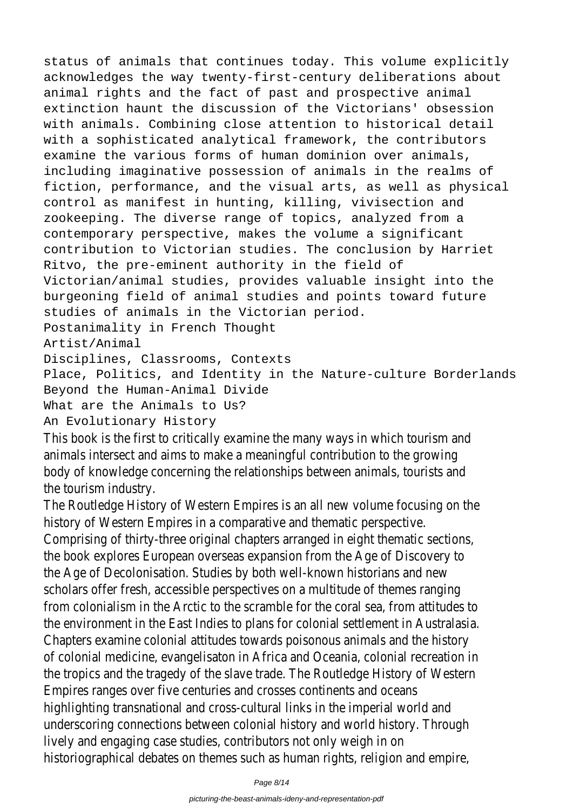status of animals that continues today. This volume explicitly acknowledges the way twenty-first-century deliberations about animal rights and the fact of past and prospective animal extinction haunt the discussion of the Victorians' obsession with animals. Combining close attention to historical detail with a sophisticated analytical framework, the contributors examine the various forms of human dominion over animals, including imaginative possession of animals in the realms of fiction, performance, and the visual arts, as well as physical control as manifest in hunting, killing, vivisection and zookeeping. The diverse range of topics, analyzed from a contemporary perspective, makes the volume a significant contribution to Victorian studies. The conclusion by Harriet Ritvo, the pre-eminent authority in the field of Victorian/animal studies, provides valuable insight into the burgeoning field of animal studies and points toward future studies of animals in the Victorian period. Postanimality in French Thought Artist/Animal Disciplines, Classrooms, Contexts

Place, Politics, and Identity in the Nature-culture Borderlands Beyond the Human-Animal Divide What are the Animals to Us?

An Evolutionary History

This book is the first to critically examine the many ways in which tourism and animals intersect and aims to make a meaningful contribution to the growing body of knowledge concerning the relationships between animals, tourists and the tourism industry.

The Routledge History of Western Empires is an all new volume focusing on the history of Western Empires in a comparative and thematic perspective. Comprising of thirty-three original chapters arranged in eight thematic sections, the book explores European overseas expansion from the Age of Discovery to the Age of Decolonisation. Studies by both well-known historians and new scholars offer fresh, accessible perspectives on a multitude of themes ranging from colonialism in the Arctic to the scramble for the coral sea, from attitudes to the environment in the East Indies to plans for colonial settlement in Australasia. Chapters examine colonial attitudes towards poisonous animals and the history of colonial medicine, evangelisaton in Africa and Oceania, colonial recreation in the tropics and the tragedy of the slave trade. The Routledge History of Western Empires ranges over five centuries and crosses continents and oceans highlighting transnational and cross-cultural links in the imperial world and underscoring connections between colonial history and world history. Through lively and engaging case studies, contributors not only weigh in on historiographical debates on themes such as human rights, religion and empire,

Page 8/14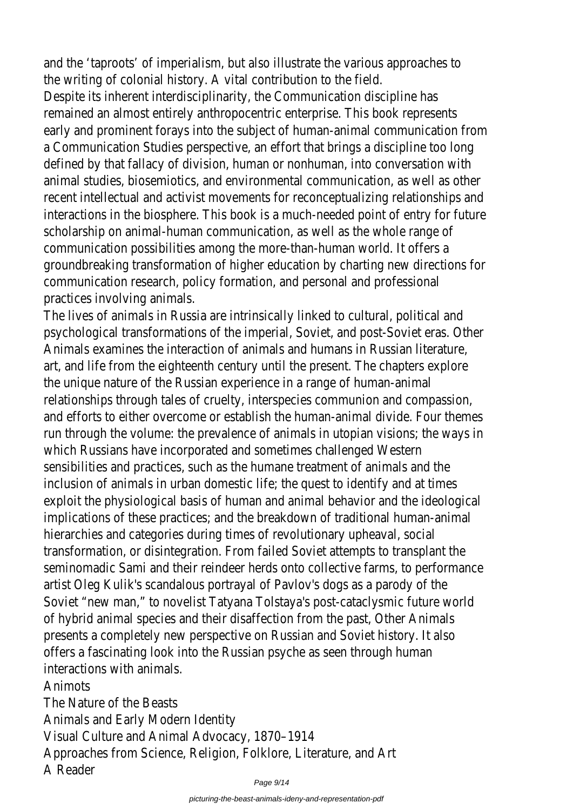and the 'taproots' of imperialism, but also illustrate the various approaches to the writing of colonial history. A vital contribution to the field. Despite its inherent interdisciplinarity, the Communication discipline has remained an almost entirely anthropocentric enterprise. This book represents early and prominent forays into the subject of human-animal communication from a Communication Studies perspective, an effort that brings a discipline too long defined by that fallacy of division, human or nonhuman, into conversation with animal studies, biosemiotics, and environmental communication, as well as other recent intellectual and activist movements for reconceptualizing relationships and interactions in the biosphere. This book is a much-needed point of entry for future scholarship on animal-human communication, as well as the whole range of communication possibilities among the more-than-human world. It offers a groundbreaking transformation of higher education by charting new directions for communication research, policy formation, and personal and professional practices involving animals.

The lives of animals in Russia are intrinsically linked to cultural, political and psychological transformations of the imperial, Soviet, and post-Soviet eras. Other Animals examines the interaction of animals and humans in Russian literature, art, and life from the eighteenth century until the present. The chapters explore the unique nature of the Russian experience in a range of human-animal relationships through tales of cruelty, interspecies communion and compassion, and efforts to either overcome or establish the human-animal divide. Four themes run through the volume: the prevalence of animals in utopian visions; the ways in which Russians have incorporated and sometimes challenged Western sensibilities and practices, such as the humane treatment of animals and the inclusion of animals in urban domestic life; the quest to identify and at times exploit the physiological basis of human and animal behavior and the ideological implications of these practices; and the breakdown of traditional human-animal hierarchies and categories during times of revolutionary upheaval, social transformation, or disintegration. From failed Soviet attempts to transplant the seminomadic Sami and their reindeer herds onto collective farms, to performance artist Oleg Kulik's scandalous portrayal of Pavlov's dogs as a parody of the Soviet "new man," to novelist Tatyana Tolstaya's post-cataclysmic future world of hybrid animal species and their disaffection from the past, Other Animals presents a completely new perspective on Russian and Soviet history. It also offers a fascinating look into the Russian psyche as seen through human interactions with animals.

### Animots

The Nature of the Beasts Animals and Early Modern Identity Visual Culture and Animal Advocacy, 1870–1914 Approaches from Science, Religion, Folklore, Literature, and Art A Reader

Page 9/14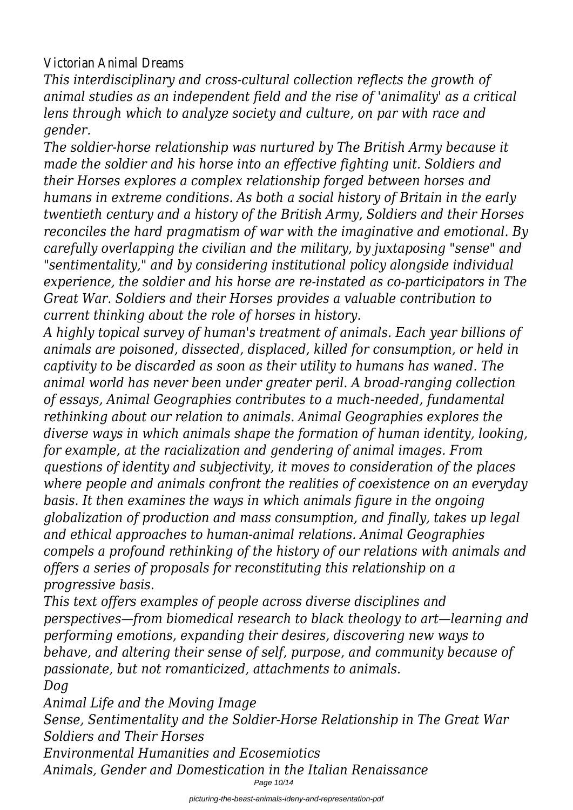Victorian Animal Dreams

*This interdisciplinary and cross-cultural collection reflects the growth of animal studies as an independent field and the rise of 'animality' as a critical lens through which to analyze society and culture, on par with race and gender.*

*The soldier-horse relationship was nurtured by The British Army because it made the soldier and his horse into an effective fighting unit. Soldiers and their Horses explores a complex relationship forged between horses and humans in extreme conditions. As both a social history of Britain in the early twentieth century and a history of the British Army, Soldiers and their Horses reconciles the hard pragmatism of war with the imaginative and emotional. By carefully overlapping the civilian and the military, by juxtaposing "sense" and "sentimentality," and by considering institutional policy alongside individual experience, the soldier and his horse are re-instated as co-participators in The Great War. Soldiers and their Horses provides a valuable contribution to current thinking about the role of horses in history.*

*A highly topical survey of human's treatment of animals. Each year billions of animals are poisoned, dissected, displaced, killed for consumption, or held in captivity to be discarded as soon as their utility to humans has waned. The animal world has never been under greater peril. A broad-ranging collection of essays, Animal Geographies contributes to a much-needed, fundamental rethinking about our relation to animals. Animal Geographies explores the diverse ways in which animals shape the formation of human identity, looking, for example, at the racialization and gendering of animal images. From questions of identity and subjectivity, it moves to consideration of the places where people and animals confront the realities of coexistence on an everyday basis. It then examines the ways in which animals figure in the ongoing globalization of production and mass consumption, and finally, takes up legal and ethical approaches to human-animal relations. Animal Geographies compels a profound rethinking of the history of our relations with animals and offers a series of proposals for reconstituting this relationship on a progressive basis.*

*This text offers examples of people across diverse disciplines and perspectives—from biomedical research to black theology to art—learning and performing emotions, expanding their desires, discovering new ways to behave, and altering their sense of self, purpose, and community because of passionate, but not romanticized, attachments to animals. Dog*

*Animal Life and the Moving Image Sense, Sentimentality and the Soldier-Horse Relationship in The Great War Soldiers and Their Horses Environmental Humanities and Ecosemiotics*

*Animals, Gender and Domestication in the Italian Renaissance*

Page 10/14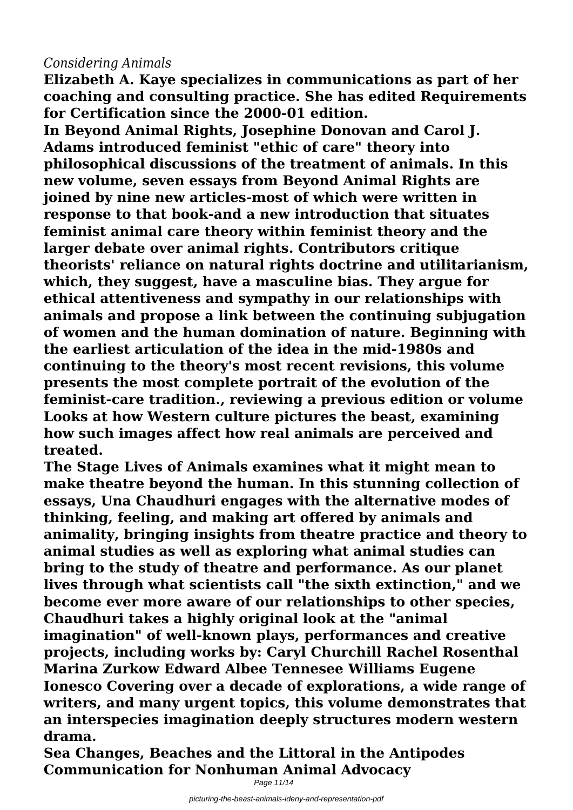## *Considering Animals*

**Elizabeth A. Kaye specializes in communications as part of her coaching and consulting practice. She has edited Requirements for Certification since the 2000-01 edition.**

**In Beyond Animal Rights, Josephine Donovan and Carol J. Adams introduced feminist "ethic of care" theory into philosophical discussions of the treatment of animals. In this new volume, seven essays from Beyond Animal Rights are joined by nine new articles-most of which were written in response to that book-and a new introduction that situates feminist animal care theory within feminist theory and the larger debate over animal rights. Contributors critique theorists' reliance on natural rights doctrine and utilitarianism, which, they suggest, have a masculine bias. They argue for ethical attentiveness and sympathy in our relationships with animals and propose a link between the continuing subjugation of women and the human domination of nature. Beginning with the earliest articulation of the idea in the mid-1980s and continuing to the theory's most recent revisions, this volume presents the most complete portrait of the evolution of the feminist-care tradition., reviewing a previous edition or volume Looks at how Western culture pictures the beast, examining how such images affect how real animals are perceived and treated.**

**The Stage Lives of Animals examines what it might mean to make theatre beyond the human. In this stunning collection of essays, Una Chaudhuri engages with the alternative modes of thinking, feeling, and making art offered by animals and animality, bringing insights from theatre practice and theory to animal studies as well as exploring what animal studies can bring to the study of theatre and performance. As our planet lives through what scientists call "the sixth extinction," and we become ever more aware of our relationships to other species, Chaudhuri takes a highly original look at the "animal imagination" of well-known plays, performances and creative projects, including works by: Caryl Churchill Rachel Rosenthal Marina Zurkow Edward Albee Tennesee Williams Eugene Ionesco Covering over a decade of explorations, a wide range of writers, and many urgent topics, this volume demonstrates that an interspecies imagination deeply structures modern western drama.**

**Sea Changes, Beaches and the Littoral in the Antipodes Communication for Nonhuman Animal Advocacy**

Page 11/14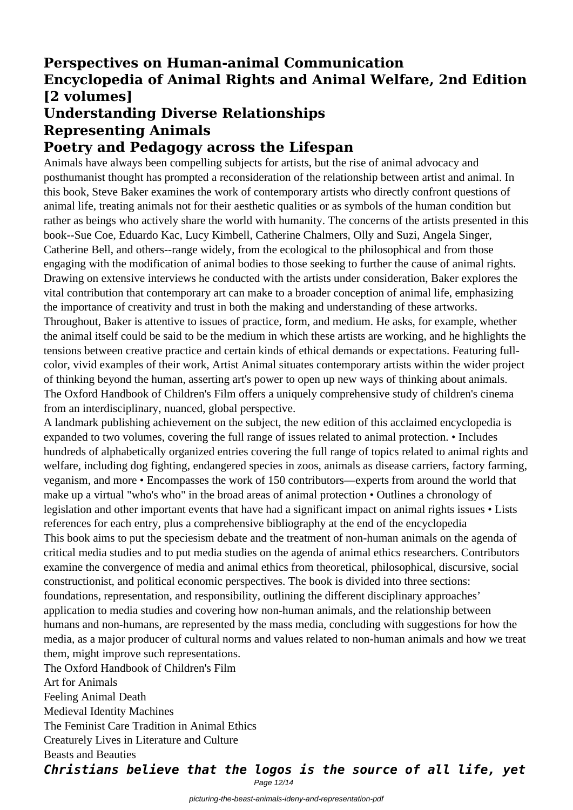# **Perspectives on Human-animal Communication Encyclopedia of Animal Rights and Animal Welfare, 2nd Edition [2 volumes] Understanding Diverse Relationships Representing Animals**

### **Poetry and Pedagogy across the Lifespan**

Animals have always been compelling subjects for artists, but the rise of animal advocacy and posthumanist thought has prompted a reconsideration of the relationship between artist and animal. In this book, Steve Baker examines the work of contemporary artists who directly confront questions of animal life, treating animals not for their aesthetic qualities or as symbols of the human condition but rather as beings who actively share the world with humanity. The concerns of the artists presented in this book--Sue Coe, Eduardo Kac, Lucy Kimbell, Catherine Chalmers, Olly and Suzi, Angela Singer, Catherine Bell, and others--range widely, from the ecological to the philosophical and from those engaging with the modification of animal bodies to those seeking to further the cause of animal rights. Drawing on extensive interviews he conducted with the artists under consideration, Baker explores the vital contribution that contemporary art can make to a broader conception of animal life, emphasizing the importance of creativity and trust in both the making and understanding of these artworks. Throughout, Baker is attentive to issues of practice, form, and medium. He asks, for example, whether the animal itself could be said to be the medium in which these artists are working, and he highlights the tensions between creative practice and certain kinds of ethical demands or expectations. Featuring fullcolor, vivid examples of their work, Artist Animal situates contemporary artists within the wider project of thinking beyond the human, asserting art's power to open up new ways of thinking about animals. The Oxford Handbook of Children's Film offers a uniquely comprehensive study of children's cinema from an interdisciplinary, nuanced, global perspective.

A landmark publishing achievement on the subject, the new edition of this acclaimed encyclopedia is expanded to two volumes, covering the full range of issues related to animal protection. • Includes hundreds of alphabetically organized entries covering the full range of topics related to animal rights and welfare, including dog fighting, endangered species in zoos, animals as disease carriers, factory farming, veganism, and more • Encompasses the work of 150 contributors—experts from around the world that make up a virtual "who's who" in the broad areas of animal protection • Outlines a chronology of legislation and other important events that have had a significant impact on animal rights issues • Lists references for each entry, plus a comprehensive bibliography at the end of the encyclopedia This book aims to put the speciesism debate and the treatment of non-human animals on the agenda of critical media studies and to put media studies on the agenda of animal ethics researchers. Contributors examine the convergence of media and animal ethics from theoretical, philosophical, discursive, social constructionist, and political economic perspectives. The book is divided into three sections: foundations, representation, and responsibility, outlining the different disciplinary approaches' application to media studies and covering how non-human animals, and the relationship between humans and non-humans, are represented by the mass media, concluding with suggestions for how the media, as a major producer of cultural norms and values related to non-human animals and how we treat them, might improve such representations.

The Oxford Handbook of Children's Film Art for Animals Feeling Animal Death Medieval Identity Machines The Feminist Care Tradition in Animal Ethics Creaturely Lives in Literature and Culture Beasts and Beauties *Christians believe that the logos is the source of all life, yet*

Page 12/14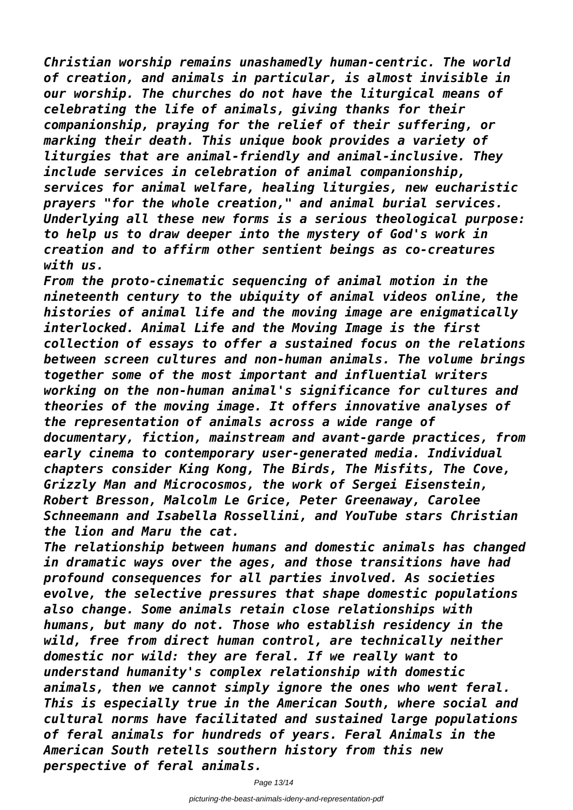*Christian worship remains unashamedly human-centric. The world of creation, and animals in particular, is almost invisible in our worship. The churches do not have the liturgical means of celebrating the life of animals, giving thanks for their companionship, praying for the relief of their suffering, or marking their death. This unique book provides a variety of liturgies that are animal-friendly and animal-inclusive. They include services in celebration of animal companionship, services for animal welfare, healing liturgies, new eucharistic prayers "for the whole creation," and animal burial services. Underlying all these new forms is a serious theological purpose: to help us to draw deeper into the mystery of God's work in creation and to affirm other sentient beings as co-creatures with us.*

*From the proto-cinematic sequencing of animal motion in the nineteenth century to the ubiquity of animal videos online, the histories of animal life and the moving image are enigmatically interlocked. Animal Life and the Moving Image is the first collection of essays to offer a sustained focus on the relations between screen cultures and non-human animals. The volume brings together some of the most important and influential writers working on the non-human animal's significance for cultures and theories of the moving image. It offers innovative analyses of the representation of animals across a wide range of documentary, fiction, mainstream and avant-garde practices, from early cinema to contemporary user-generated media. Individual chapters consider King Kong, The Birds, The Misfits, The Cove, Grizzly Man and Microcosmos, the work of Sergei Eisenstein, Robert Bresson, Malcolm Le Grice, Peter Greenaway, Carolee Schneemann and Isabella Rossellini, and YouTube stars Christian the lion and Maru the cat.*

*The relationship between humans and domestic animals has changed in dramatic ways over the ages, and those transitions have had profound consequences for all parties involved. As societies evolve, the selective pressures that shape domestic populations also change. Some animals retain close relationships with humans, but many do not. Those who establish residency in the wild, free from direct human control, are technically neither domestic nor wild: they are feral. If we really want to understand humanity's complex relationship with domestic animals, then we cannot simply ignore the ones who went feral. This is especially true in the American South, where social and cultural norms have facilitated and sustained large populations of feral animals for hundreds of years. Feral Animals in the American South retells southern history from this new perspective of feral animals.*